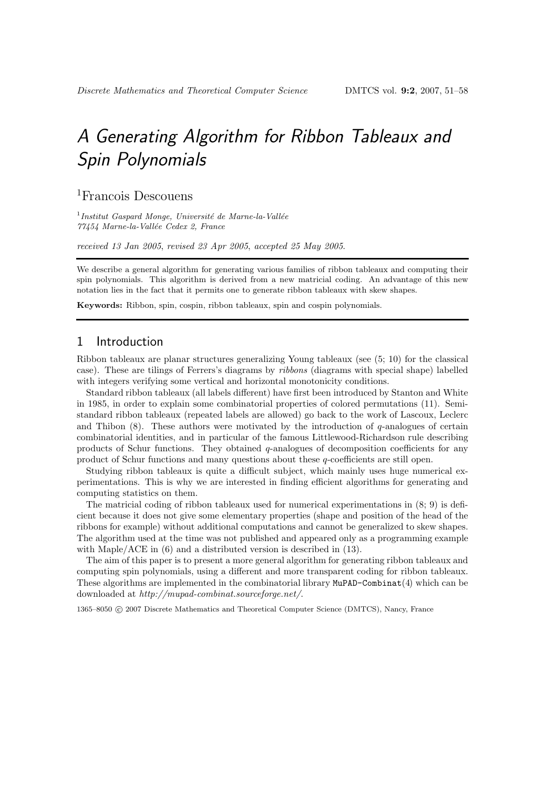# A Generating Algorithm for Ribbon Tableaux and Spin Polynomials

<sup>1</sup>Francois Descouens

 $<sup>1</sup>$ Institut Gaspard Monge, Université de Marne-la-Vallée</sup> 77454 Marne-la-Vallée Cedex 2, France

received 13 Jan 2005, revised 23 Apr 2005, accepted 25 May 2005.

We describe a general algorithm for generating various families of ribbon tableaux and computing their spin polynomials. This algorithm is derived from a new matricial coding. An advantage of this new notation lies in the fact that it permits one to generate ribbon tableaux with skew shapes.

Keywords: Ribbon, spin, cospin, ribbon tableaux, spin and cospin polynomials.

## 1 Introduction

Ribbon tableaux are planar structures generalizing Young tableaux (see (5; 10) for the classical case). These are tilings of Ferrers's diagrams by ribbons (diagrams with special shape) labelled with integers verifying some vertical and horizontal monotonicity conditions.

Standard ribbon tableaux (all labels different) have first been introduced by Stanton and White in 1985, in order to explain some combinatorial properties of colored permutations (11). Semistandard ribbon tableaux (repeated labels are allowed) go back to the work of Lascoux, Leclerc and Thibon  $(8)$ . These authors were motivated by the introduction of q-analogues of certain combinatorial identities, and in particular of the famous Littlewood-Richardson rule describing products of Schur functions. They obtained q-analogues of decomposition coefficients for any product of Schur functions and many questions about these q-coefficients are still open.

Studying ribbon tableaux is quite a difficult subject, which mainly uses huge numerical experimentations. This is why we are interested in finding efficient algorithms for generating and computing statistics on them.

The matricial coding of ribbon tableaux used for numerical experimentations in (8; 9) is deficient because it does not give some elementary properties (shape and position of the head of the ribbons for example) without additional computations and cannot be generalized to skew shapes. The algorithm used at the time was not published and appeared only as a programming example with Maple/ACE in (6) and a distributed version is described in (13).

The aim of this paper is to present a more general algorithm for generating ribbon tableaux and computing spin polynomials, using a different and more transparent coding for ribbon tableaux. These algorithms are implemented in the combinatorial library  $\texttt{MuPAD-Combinant}(4)$  which can be downloaded at http://mupad-combinat.sourceforge.net/.

1365–8050 c 2007 Discrete Mathematics and Theoretical Computer Science (DMTCS), Nancy, France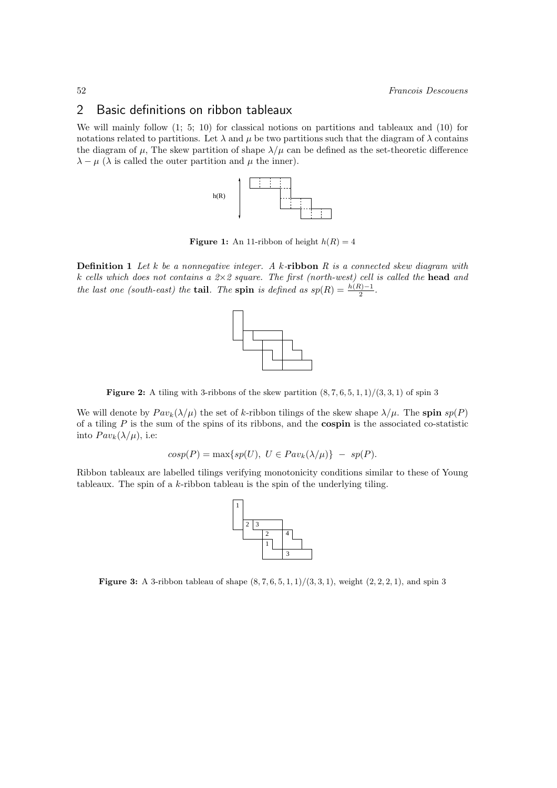# 2 Basic definitions on ribbon tableaux

We will mainly follow (1; 5; 10) for classical notions on partitions and tableaux and (10) for notations related to partitions. Let  $\lambda$  and  $\mu$  be two partitions such that the diagram of  $\lambda$  contains the diagram of  $\mu$ , The skew partition of shape  $\lambda/\mu$  can be defined as the set-theoretic difference  $\lambda - \mu$  ( $\lambda$  is called the outer partition and  $\mu$  the inner).



**Figure 1:** An 11-ribbon of height  $h(R) = 4$ 

**Definition 1** Let  $k$  be a nonnegative integer. A  $k$ -ribbon  $R$  is a connected skew diagram with k cells which does not contains a  $2\times 2$  square. The first (north-west) cell is called the head and the last one (south-east) the **tail**. The **spin** is defined as  $sp(R) = \frac{h(R)-1}{2}$  $\frac{i^{j-1}}{2}$ .



Figure 2: A tiling with 3-ribbons of the skew partition  $(8, 7, 6, 5, 1, 1)/(3, 3, 1)$  of spin 3

We will denote by  $Pav_k(\lambda/\mu)$  the set of k-ribbon tilings of the skew shape  $\lambda/\mu$ . The spin  $sp(P)$ of a tiling  $P$  is the sum of the spins of its ribbons, and the **cospin** is the associated co-statistic into  $Pav_k(\lambda/\mu)$ , i.e:

$$
cosp(P) = \max\{sp(U), U \in Pav_k(\lambda/\mu)\} - sp(P).
$$

Ribbon tableaux are labelled tilings verifying monotonicity conditions similar to these of Young tableaux. The spin of a  $k$ -ribbon tableau is the spin of the underlying tiling.



**Figure 3:** A 3-ribbon tableau of shape  $(8, 7, 6, 5, 1, 1)/(3, 3, 1)$ , weight  $(2, 2, 2, 1)$ , and spin 3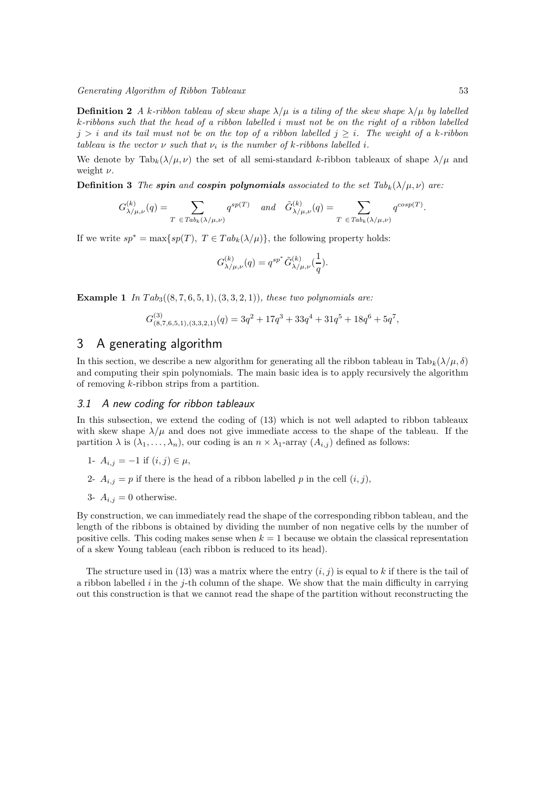Generating Algorithm of Ribbon Tableaux 53

**Definition 2** A k-ribbon tableau of skew shape  $\lambda/\mu$  is a tiling of the skew shape  $\lambda/\mu$  by labelled k-ribbons such that the head of a ribbon labelled i must not be on the right of a ribbon labelled  $j > i$  and its tail must not be on the top of a ribbon labelled  $j \geq i$ . The weight of a k-ribbon tableau is the vector  $\nu$  such that  $\nu_i$  is the number of k-ribbons labelled i.

We denote by  $\text{Tab}_k(\lambda/\mu, \nu)$  the set of all semi-standard k-ribbon tableaux of shape  $\lambda/\mu$  and weight  $\nu$ .

**Definition 3** The spin and cospin polynomials associated to the set  $Tab_k(\lambda/\mu, \nu)$  are:

$$
G^{(k)}_{\lambda/\mu,\nu}(q)=\sum_{T\ \in\textit{Tab}_k(\lambda/\mu,\nu)}q^{sp(T)}\quad\textit{and}\quad \tilde{G}^{(k)}_{\lambda/\mu,\nu}(q)=\sum_{T\ \in\textit{Tab}_k(\lambda/\mu,\nu)}q^{cosp(T)}.
$$

If we write  $sp^* = \max\{sp(T), T \in Tab_k(\lambda/\mu)\}\)$ , the following property holds:

$$
G_{\lambda/\mu,\nu}^{(k)}(q) = q^{sp^*} \tilde{G}_{\lambda/\mu,\nu}^{(k)}(\frac{1}{q}).
$$

**Example 1** In  $Tab_3((8, 7, 6, 5, 1), (3, 3, 2, 1))$ , these two polynomials are:

$$
G_{(8,7,6,5,1),(3,3,2,1)}^{(3)}(q) = 3q^2 + 17q^3 + 33q^4 + 31q^5 + 18q^6 + 5q^7,
$$

# 3 A generating algorithm

In this section, we describe a new algorithm for generating all the ribbon tableau in  $\text{Tab}_k(\lambda/\mu, \delta)$ and computing their spin polynomials. The main basic idea is to apply recursively the algorithm of removing k-ribbon strips from a partition.

# 3.1 A new coding for ribbon tableaux

In this subsection, we extend the coding of (13) which is not well adapted to ribbon tableaux with skew shape  $\lambda/\mu$  and does not give immediate access to the shape of the tableau. If the partition  $\lambda$  is  $(\lambda_1, \ldots, \lambda_n)$ , our coding is an  $n \times \lambda_1$ -array  $(A_{i,j})$  defined as follows:

1- 
$$
A_{i,j} = -1
$$
 if  $(i, j) \in \mu$ ,

- 2-  $A_{i,j} = p$  if there is the head of a ribbon labelled p in the cell  $(i, j)$ ,
- 3-  $A_{i,j} = 0$  otherwise.

By construction, we can immediately read the shape of the corresponding ribbon tableau, and the length of the ribbons is obtained by dividing the number of non negative cells by the number of positive cells. This coding makes sense when  $k = 1$  because we obtain the classical representation of a skew Young tableau (each ribbon is reduced to its head).

The structure used in (13) was a matrix where the entry  $(i, j)$  is equal to k if there is the tail of a ribbon labelled  $i$  in the j-th column of the shape. We show that the main difficulty in carrying out this construction is that we cannot read the shape of the partition without reconstructing the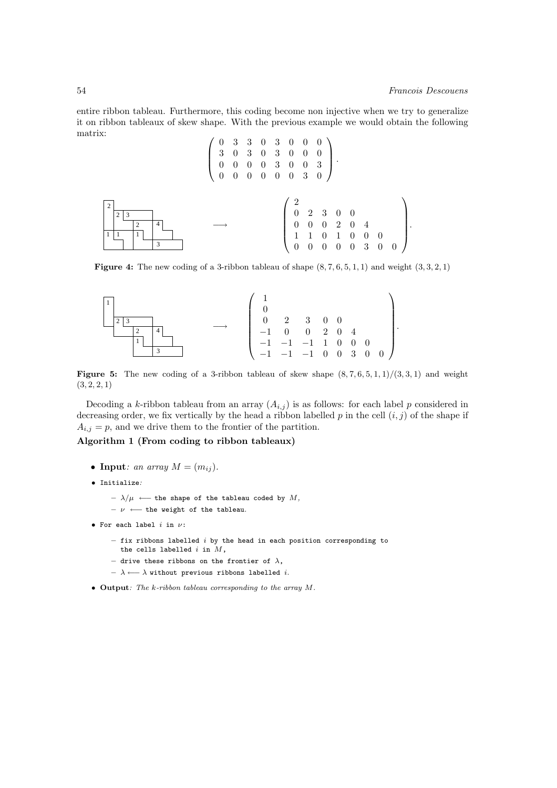entire ribbon tableau. Furthermore, this coding become non injective when we try to generalize it on ribbon tableaux of skew shape. With the previous example we would obtain the following matrix:

A:  
\n
$$
\begin{pmatrix}\n0 & 3 & 3 & 0 & 3 & 0 & 0 & 0 \\
3 & 0 & 3 & 0 & 3 & 0 & 0 & 0 \\
0 & 0 & 0 & 0 & 3 & 0 & 0 & 3 \\
0 & 0 & 0 & 0 & 0 & 0 & 3 & 0\n\end{pmatrix}
$$
\n
$$
\begin{pmatrix}\n2 \\
2 \\
3 \\
1\n\end{pmatrix}
$$
\nA  
\n
$$
\begin{pmatrix}\n0 & 3 & 3 & 0 & 3 & 0 & 0 & 0 \\
0 & 0 & 0 & 0 & 3 & 0 & 0 \\
0 & 0 & 0 & 0 & 3 & 0 & 0\n\end{pmatrix}
$$
\nA  
\n
$$
\begin{pmatrix}\n2 \\
0 \\
1 \\
1 \\
0 \\
0 \\
0 \\
0 \\
0 \\
0 \\
0 \\
0 \\
0 \\
0 \\
0 \\
0\n\end{pmatrix}
$$

**Figure 4:** The new coding of a 3-ribbon tableau of shape  $(8, 7, 6, 5, 1, 1)$  and weight  $(3, 3, 2, 1)$ 



**Figure 5:** The new coding of a 3-ribbon tableau of skew shape  $(8, 7, 6, 5, 1, 1)/(3, 3, 1)$  and weight  $(3, 2, 2, 1)$ 

Decoding a k-ribbon tableau from an array  $(A_{i,j})$  is as follows: for each label p considered in decreasing order, we fix vertically by the head a ribbon labelled  $p$  in the cell  $(i, j)$  of the shape if  $A_{i,j} = p$ , and we drive them to the frontier of the partition.

Algorithm 1 (From coding to ribbon tableaux)

- Input: an array  $M = (m_{ij})$ .
- Initialize:
	- $\lambda / \mu$  ← the shape of the tableau coded by M,

 $\nu$  ← the weight of the tableau.

- For each label  $i$  in  $\nu$ :
	- $-$  fix ribbons labelled  $i$  by the head in each position corresponding to the cells labelled  $i$  in  $M$ ,
	- drive these ribbons on the frontier of  $\lambda$ ,
	- $\lambda$  ←  $\lambda$  without previous ribbons labelled *i*.
- Output: The k-ribbon tableau corresponding to the array M.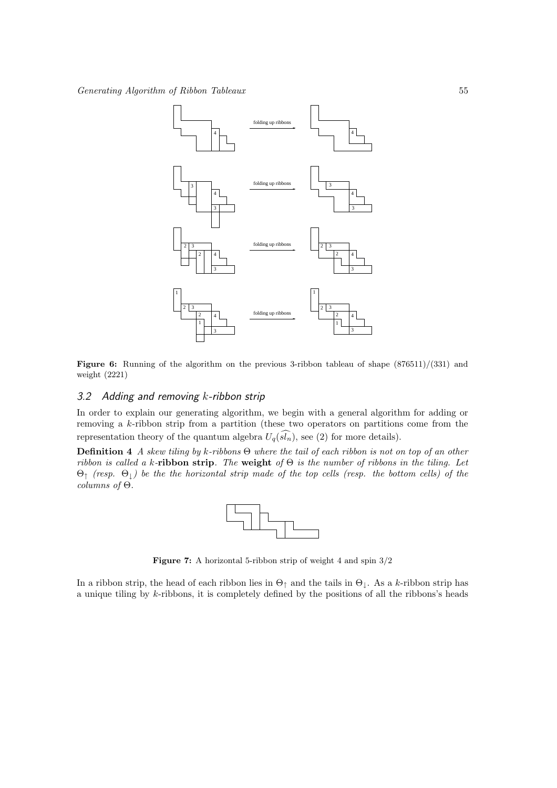

Figure 6: Running of the algorithm on the previous 3-ribbon tableau of shape  $(876511)/(331)$  and weight (2221)

#### 3.2 Adding and removing  $k$ -ribbon strip

In order to explain our generating algorithm, we begin with a general algorithm for adding or removing a k-ribbon strip from a partition (these two operators on partitions come from the representation theory of the quantum algebra  $U_q(\widehat{sl_n})$ , see (2) for more details).

Definition 4 A skew tiling by k-ribbons Θ where the tail of each ribbon is not on top of an other ribbon is called a k-ribbon strip. The weight of  $\Theta$  is the number of ribbons in the tiling. Let  $\Theta_{\uparrow}$  (resp.  $\Theta_{\downarrow}$ ) be the the horizontal strip made of the top cells (resp. the bottom cells) of the  $columns of  $\Theta$ .$ 



Figure 7: A horizontal 5-ribbon strip of weight 4 and spin 3/2

In a ribbon strip, the head of each ribbon lies in  $\Theta_{\uparrow}$  and the tails in  $\Theta_{\downarrow}$ . As a k-ribbon strip has a unique tiling by k-ribbons, it is completely defined by the positions of all the ribbons's heads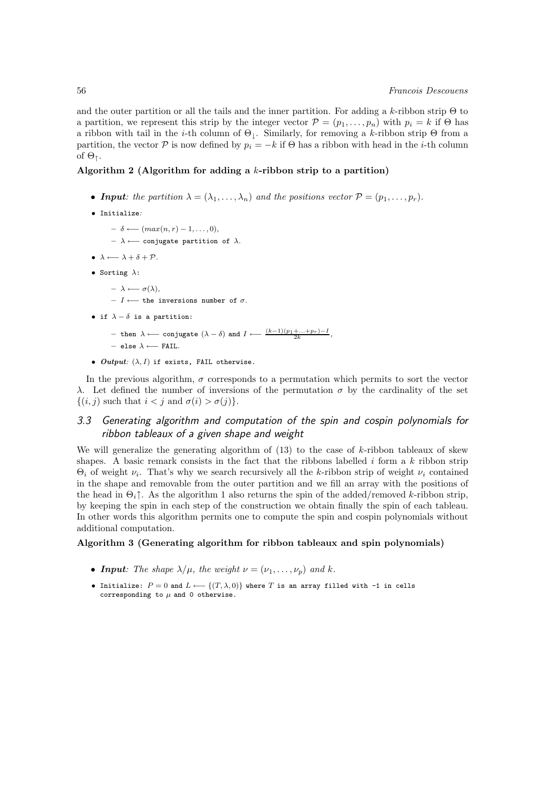and the outer partition or all the tails and the inner partition. For adding a k-ribbon strip  $\Theta$  to a partition, we represent this strip by the integer vector  $\mathcal{P} = (p_1, \ldots, p_n)$  with  $p_i = k$  if  $\Theta$  has a ribbon with tail in the *i*-th column of  $\Theta_{\perp}$ . Similarly, for removing a k-ribbon strip  $\Theta$  from a partition, the vector P is now defined by  $p_i = -k$  if  $\Theta$  has a ribbon with head in the *i*-th column of  $\Theta_{\uparrow}$ .

#### Algorithm 2 (Algorithm for adding a  $k$ -ribbon strip to a partition)

- **Input**: the partition  $\lambda = (\lambda_1, \ldots, \lambda_n)$  and the positions vector  $\mathcal{P} = (p_1, \ldots, p_r)$ .
- Initialize:
	- $\delta \longleftarrow (max(n,r) 1, \ldots, 0),$
	- $\lambda$  ← conjugate partition of  $\lambda$ .
- $\lambda \longleftarrow \lambda + \delta + \mathcal{P}$ .
- Sorting  $\lambda$ :
	- $\lambda \longleftarrow \sigma(\lambda)$ ,
	- $I \longleftarrow$  the inversions number of σ.
- if  $\lambda \delta$  is a partition:
	- $-$  then  $\lambda \longleftarrow$  conjugate  $(\lambda \delta)$  and  $I \longleftarrow \frac{(k-1)(p_1 + ... + p_r) I}{2k}$ ,
	- $-$  else  $\lambda$  ← FAIL.
- Output:  $(\lambda, I)$  if exists, FAIL otherwise.

In the previous algorithm,  $\sigma$  corresponds to a permutation which permits to sort the vector λ. Let defined the number of inversions of the permutation σ by the cardinality of the set  $\{(i, j) \text{ such that } i < j \text{ and } \sigma(i) > \sigma(j)\}.$ 

## 3.3 Generating algorithm and computation of the spin and cospin polynomials for ribbon tableaux of a given shape and weight

We will generalize the generating algorithm of  $(13)$  to the case of k-ribbon tableaux of skew shapes. A basic remark consists in the fact that the ribbons labelled  $i$  form a  $k$  ribbon strip  $\Theta_i$  of weight  $\nu_i$ . That's why we search recursively all the k-ribbon strip of weight  $\nu_i$  contained in the shape and removable from the outer partition and we fill an array with the positions of the head in  $\Theta_i \uparrow$ . As the algorithm 1 also returns the spin of the added/removed k-ribbon strip, by keeping the spin in each step of the construction we obtain finally the spin of each tableau. In other words this algorithm permits one to compute the spin and cospin polynomials without additional computation.

#### Algorithm 3 (Generating algorithm for ribbon tableaux and spin polynomials)

- Input: The shape  $\lambda/\mu$ , the weight  $\nu = (\nu_1, \ldots, \nu_p)$  and k.
- Initialize:  $P = 0$  and  $L \leftarrow \{(T, \lambda, 0)\}$  where T is an array filled with -1 in cells corresponding to  $\mu$  and 0 otherwise.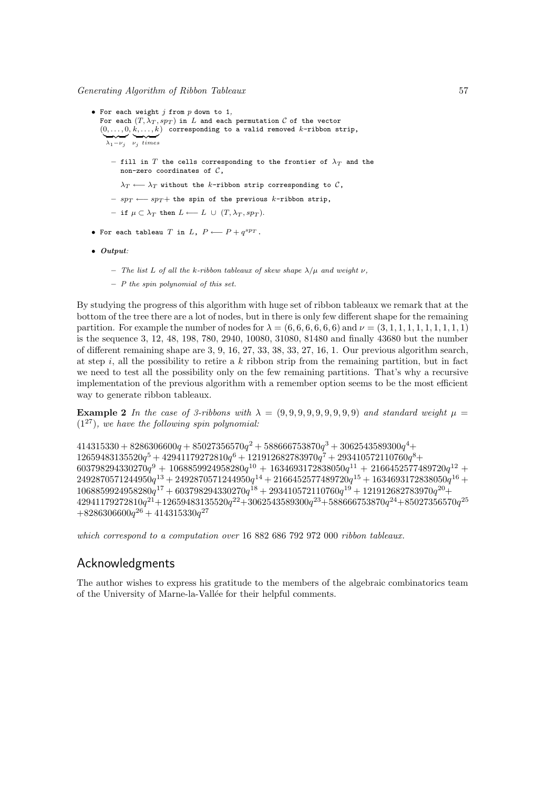- For each weight  $j$  from  $p$  down to 1, For each  $(T, \lambda_T, sp_T)$  in L and each permutation C of the vector  $(0, \ldots, 0, k, \ldots, k)$  corresponding to a valid removed  $k$ -ribbon strip,  $\lambda_1 - \nu_j$  v<sub>j</sub> times
	- fill in  $T$  the cells corresponding to the frontier of  $\lambda_T$  and the non-zero coordinates of  $\mathcal{C}$ ,
	- $\lambda_T \longleftarrow \lambda_T$  without the k-ribbon strip corresponding to  $\mathcal{C}$ ,
	- $-$  spT ← spT + the spin of the previous k-ribbon strip,
	- $-$  if  $\mu \subset \lambda_T$  then  $L \longleftarrow L \cup (T, \lambda_T, sp_T)$ .
- For each tableau T in  $L$ ,  $P \longleftarrow P + q^{spT}$ .
- Output:
	- The list L of all the k-ribbon tableaux of skew shape  $\lambda/\mu$  and weight  $\nu$ ,
	- $-$  P the spin polynomial of this set.

By studying the progress of this algorithm with huge set of ribbon tableaux we remark that at the bottom of the tree there are a lot of nodes, but in there is only few different shape for the remaining partition. For example the number of nodes for  $\lambda = (6, 6, 6, 6, 6, 6)$  and  $\nu = (3, 1, 1, 1, 1, 1, 1, 1, 1)$ is the sequence 3, 12, 48, 198, 780, 2940, 10080, 31080, 81480 and finally 43680 but the number of different remaining shape are 3, 9, 16, 27, 33, 38, 33, 27, 16, 1. Our previous algorithm search, at step i, all the possibility to retire a  $k$  ribbon strip from the remaining partition, but in fact we need to test all the possibility only on the few remaining partitions. That's why a recursive implementation of the previous algorithm with a remember option seems to be the most efficient way to generate ribbon tableaux.

**Example 2** In the case of 3-ribbons with  $\lambda = (9, 9, 9, 9, 9, 9, 9, 9, 9)$  and standard weight  $\mu =$  $(1^{27})$ , we have the following spin polynomial:

 $414315330 + 8286306600 q + 85027356570 q^2 + 588666753870 q^3 + 3062543589300 q^4 +$  $12659483135520 q^5 + 42941179272810 q^6 + 121912682783970 q^7 + 293410572110760 q^8 +$  $603798294330270 q^9 + 1068859924958280 q^{10} + 1634693172838050 q^{11} + 2166452577489720 q^{12} +$  $2492870571244950 q^{13} + 2492870571244950 q^{14} + 2166452577489720 q^{15} + 1634693172838050 q^{16} +$  $1068859924958280 q^{17} + 603798294330270 q^{18} + 293410572110760 q^{19} + 121912682783970 q^{20} +$  $42941179272810 q^{21}\!+\! 12659483135520 q^{22}\!+\! 3062543589300 q^{23}\!+\! 588666753870 q^{24}\!+\! 85027356570 q^{25}$  $+8286306600q^{26}+414315330q^{27}$ 

which correspond to a computation over 16 882 686 792 972 000 ribbon tableaux.

# Acknowledgments

The author wishes to express his gratitude to the members of the algebraic combinatorics team of the University of Marne-la-Vallée for their helpful comments.